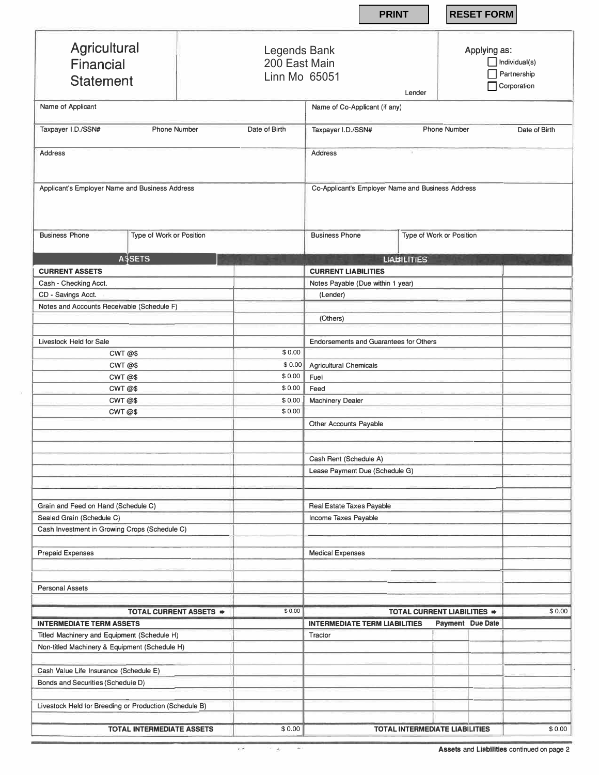|                                                        |                                                | <b>PRINT</b>                                      | <b>RESET FORM</b>                                                            |
|--------------------------------------------------------|------------------------------------------------|---------------------------------------------------|------------------------------------------------------------------------------|
| Agricultural<br>Financial<br><b>Statement</b>          | Legends Bank<br>200 East Main<br>Linn Mo 65051 |                                                   | Applying as:<br>$\Box$ Individual(s)<br>Partnership<br>Corporation<br>Lender |
| Name of Applicant                                      |                                                | Name of Co-Applicant (if any)                     |                                                                              |
| Taxpayer I.D./SSN#<br><b>Phone Number</b>              | Date of Birth                                  | Taxpayer I.D./SSN#                                | <b>Phone Number</b><br>Date of Birth                                         |
| <b>Address</b>                                         |                                                | <b>Address</b>                                    |                                                                              |
| Applicant's Employer Name and Business Address         |                                                | Co-Applicant's Employer Name and Business Address |                                                                              |
| <b>Business Phone</b><br>Type of Work or Position      |                                                | <b>Business Phone</b>                             | Type of Work or Position                                                     |
| <b>ASSETS</b>                                          |                                                | <b>LIABILITIES</b>                                |                                                                              |
| <b>CURRENT ASSETS</b>                                  |                                                | <b>CURRENT LIABILITIES</b>                        |                                                                              |
| Cash - Checking Acct.                                  |                                                | Notes Payable (Due within 1 year)                 |                                                                              |
| CD - Savings Acct.                                     |                                                | (Lender)                                          |                                                                              |
| Notes and Accounts Receivable (Schedule F)             |                                                |                                                   |                                                                              |
|                                                        |                                                | (Others)                                          |                                                                              |
| Livestock Held for Sale                                |                                                | <b>Endorsements and Guarantees for Others</b>     |                                                                              |
| CWT@\$                                                 | \$0.00                                         |                                                   |                                                                              |
| CWT @\$                                                | \$0.00                                         | Agricultural Chemicals                            |                                                                              |
| CWT @\$                                                | \$0.00                                         | Fuel                                              |                                                                              |
| CWT @\$                                                | \$0.00                                         | Feed                                              |                                                                              |
| CWT @\$                                                | \$0.00                                         | <b>Machinery Dealer</b>                           |                                                                              |
| CWT @\$                                                | \$0.00                                         |                                                   |                                                                              |
|                                                        |                                                | Other Accounts Payable                            |                                                                              |
|                                                        |                                                | Cash Rent (Schedule A)                            |                                                                              |
|                                                        |                                                | Lease Payment Due (Schedule G)                    |                                                                              |
| Grain and Feed on Hand (Schedule C)                    |                                                | Real Estate Taxes Payable                         |                                                                              |
| Sealed Grain (Schedule C)                              |                                                | Income Taxes Payable                              |                                                                              |
| Cash Investment in Growing Crops (Schedule C)          |                                                |                                                   |                                                                              |
| <b>Prepaid Expenses</b>                                |                                                | <b>Medical Expenses</b>                           |                                                                              |
|                                                        |                                                |                                                   |                                                                              |
|                                                        |                                                |                                                   |                                                                              |
| Personal Assets                                        |                                                |                                                   |                                                                              |
|                                                        |                                                |                                                   |                                                                              |
| TOTAL CURRENT ASSETS =                                 | \$0.00                                         |                                                   | TOTAL CURRENT LIABILITIES =                                                  |
| <b>INTERMEDIATE TERM ASSETS</b>                        |                                                | <b>INTERMEDIATE TERM LIABILITIES</b>              | Payment Due Date                                                             |
| Titled Machinery and Equipment (Schedule H)            |                                                | Tractor                                           |                                                                              |
| Non-titled Machinery & Equipment (Schedule H)          |                                                |                                                   |                                                                              |
| Cash Value Life Insurance (Schedule E)                 |                                                |                                                   |                                                                              |
| Bonds and Securities (Schedule D)                      |                                                |                                                   |                                                                              |
| Livestock Held for Breeding or Production (Schedule B) |                                                |                                                   |                                                                              |
| <b>TOTAL INTERMEDIATE ASSETS</b>                       | \$0.00                                         |                                                   | \$0.00<br><b>TOTAL INTERMEDIATE LIABILITIES</b>                              |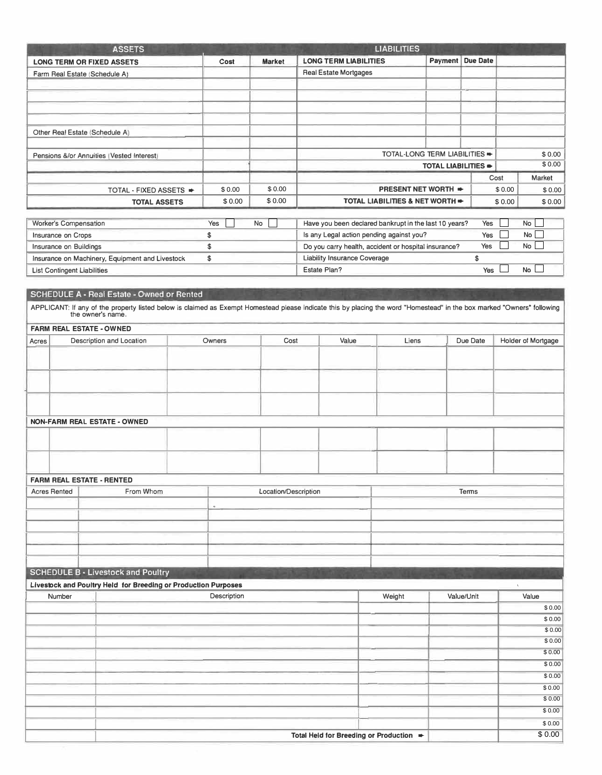|                                    | <b>ASSETS</b>                                                                                                                                                           |  |                  |                      |                                                               |                | <b>LIABILITIES</b>                                    |                               |                  |              |                    |
|------------------------------------|-------------------------------------------------------------------------------------------------------------------------------------------------------------------------|--|------------------|----------------------|---------------------------------------------------------------|----------------|-------------------------------------------------------|-------------------------------|------------------|--------------|--------------------|
|                                    | <b>LONG TERM OR FIXED ASSETS</b>                                                                                                                                        |  | Cost             | <b>Market</b>        | <b>LONG TERM LIABILITIES</b>                                  |                |                                                       |                               | Payment Due Date |              |                    |
|                                    | Farm Real Estate (Schedule A)                                                                                                                                           |  |                  |                      | <b>Real Estate Mortgages</b>                                  |                |                                                       |                               |                  |              |                    |
|                                    |                                                                                                                                                                         |  |                  |                      |                                                               |                |                                                       |                               |                  |              |                    |
|                                    |                                                                                                                                                                         |  |                  |                      |                                                               |                |                                                       |                               |                  |              |                    |
|                                    |                                                                                                                                                                         |  |                  |                      |                                                               |                |                                                       |                               |                  |              |                    |
|                                    |                                                                                                                                                                         |  |                  |                      |                                                               |                |                                                       |                               |                  |              |                    |
|                                    | Other Real Estate (Schedule A)                                                                                                                                          |  |                  |                      |                                                               |                |                                                       |                               |                  |              |                    |
|                                    |                                                                                                                                                                         |  |                  |                      |                                                               |                |                                                       |                               |                  |              |                    |
|                                    | Pensions &/or Annuities (Vested Interest)                                                                                                                               |  |                  |                      |                                                               |                |                                                       | TOTAL-LONG TERM LIABILITIES = |                  |              | \$0.00<br>\$0.00   |
|                                    |                                                                                                                                                                         |  |                  |                      | TOTAL LIABILITIES .                                           |                |                                                       |                               |                  |              |                    |
|                                    |                                                                                                                                                                         |  |                  | \$0.00               | Cost                                                          |                |                                                       | \$0.00                        | Market<br>\$0.00 |              |                    |
|                                    | TOTAL - FIXED ASSETS $\blacktriangleright$                                                                                                                              |  | \$0.00<br>\$0.00 | \$0.00               | <b>PRESENT NET WORTH +</b><br>TOTAL LIABILITIES & NET WORTH = |                |                                                       |                               | \$0.00           | \$0.00       |                    |
|                                    | <b>TOTAL ASSETS</b>                                                                                                                                                     |  |                  |                      |                                                               |                |                                                       |                               |                  |              |                    |
| Worker's Compensation              |                                                                                                                                                                         |  | Yes              | No                   |                                                               |                | Have you been declared bankrupt in the last 10 years? |                               | Yes              |              | No                 |
| Insurance on Crops                 |                                                                                                                                                                         |  | \$               |                      |                                                               |                | Is any Legal action pending against you?              |                               | Yes              |              | No                 |
| Insurance on Buildings             |                                                                                                                                                                         |  | \$               |                      |                                                               |                | Do you carry health, accident or hospital insurance?  |                               | Yes              |              | No                 |
|                                    | Insurance on Machinery, Equipment and Livestock                                                                                                                         |  | \$               |                      | Liability Insurance Coverage                                  |                |                                                       |                               | \$               |              |                    |
| <b>List Contingent Liabilities</b> |                                                                                                                                                                         |  |                  |                      | Estate Plan?                                                  |                |                                                       |                               | Yes              |              | No                 |
|                                    |                                                                                                                                                                         |  |                  |                      |                                                               |                |                                                       |                               |                  |              |                    |
|                                    | SCHEDULE A - Real Estate - Owned or Rented                                                                                                                              |  |                  |                      |                                                               |                |                                                       |                               |                  |              |                    |
|                                    | APPLICANT: If any of the property listed below is claimed as Exempt Homestead please indicate this by placing the word "Homestead" in the box marked "Owners" following |  |                  |                      |                                                               |                |                                                       |                               |                  |              |                    |
|                                    | the owner's name.                                                                                                                                                       |  |                  |                      |                                                               |                |                                                       |                               |                  |              |                    |
|                                    | <b>FARM REAL ESTATE - OWNED</b>                                                                                                                                         |  |                  |                      |                                                               |                |                                                       |                               |                  |              |                    |
| Acres                              | Description and Location                                                                                                                                                |  | Owners           | Cost                 |                                                               | Value<br>Liens |                                                       |                               | Due Date         |              | Holder of Mortgage |
|                                    |                                                                                                                                                                         |  |                  |                      |                                                               |                |                                                       |                               |                  |              |                    |
|                                    |                                                                                                                                                                         |  |                  |                      |                                                               |                |                                                       |                               |                  |              |                    |
|                                    |                                                                                                                                                                         |  |                  |                      |                                                               |                |                                                       |                               |                  |              |                    |
|                                    |                                                                                                                                                                         |  |                  |                      |                                                               |                |                                                       |                               |                  |              |                    |
|                                    |                                                                                                                                                                         |  |                  |                      |                                                               |                |                                                       |                               |                  |              |                    |
|                                    |                                                                                                                                                                         |  |                  |                      |                                                               |                |                                                       |                               |                  |              |                    |
|                                    | NON-FARM REAL ESTATE - OWNED                                                                                                                                            |  |                  |                      |                                                               |                |                                                       |                               |                  |              |                    |
|                                    |                                                                                                                                                                         |  |                  |                      |                                                               |                |                                                       |                               |                  |              |                    |
|                                    |                                                                                                                                                                         |  |                  |                      |                                                               |                |                                                       |                               |                  |              |                    |
|                                    |                                                                                                                                                                         |  |                  |                      |                                                               |                |                                                       |                               |                  |              |                    |
|                                    |                                                                                                                                                                         |  |                  |                      |                                                               |                |                                                       |                               |                  |              |                    |
|                                    | <b>FARM REAL ESTATE - RENTED</b>                                                                                                                                        |  |                  |                      |                                                               |                |                                                       |                               |                  |              |                    |
| <b>Acres Rented</b>                | From Whom                                                                                                                                                               |  |                  | Location/Description |                                                               |                |                                                       |                               | Terms            |              |                    |
|                                    |                                                                                                                                                                         |  |                  |                      |                                                               |                |                                                       |                               |                  |              |                    |
|                                    |                                                                                                                                                                         |  |                  |                      |                                                               |                |                                                       |                               |                  |              |                    |
|                                    |                                                                                                                                                                         |  |                  |                      |                                                               |                |                                                       |                               |                  |              |                    |
|                                    |                                                                                                                                                                         |  |                  |                      |                                                               |                |                                                       |                               |                  |              |                    |
|                                    |                                                                                                                                                                         |  |                  |                      |                                                               |                |                                                       |                               |                  |              |                    |
|                                    | <b>SCHEDULE B - Livestock and Poultry</b>                                                                                                                               |  |                  |                      |                                                               |                |                                                       |                               |                  |              |                    |
|                                    | Livestock and Poultry Held for Breeding or Production Purposes                                                                                                          |  |                  |                      |                                                               |                |                                                       |                               |                  | $\mathbf{v}$ |                    |
| Number                             |                                                                                                                                                                         |  | Description      |                      |                                                               |                | Weight                                                |                               | Value/Unit       |              | Value              |
|                                    |                                                                                                                                                                         |  |                  |                      |                                                               |                |                                                       |                               |                  |              | \$0.00             |
|                                    |                                                                                                                                                                         |  |                  |                      |                                                               |                |                                                       |                               |                  |              | \$0.00             |
|                                    |                                                                                                                                                                         |  |                  |                      |                                                               |                |                                                       |                               |                  |              | \$0.00             |
|                                    |                                                                                                                                                                         |  |                  |                      |                                                               |                |                                                       |                               |                  |              | \$0.00             |
|                                    |                                                                                                                                                                         |  |                  |                      |                                                               |                |                                                       |                               |                  |              | \$0.00             |
|                                    |                                                                                                                                                                         |  |                  |                      |                                                               |                |                                                       |                               |                  |              | \$0.00             |
|                                    |                                                                                                                                                                         |  |                  |                      |                                                               |                |                                                       |                               |                  |              | \$0.00             |
|                                    |                                                                                                                                                                         |  |                  |                      |                                                               |                |                                                       |                               |                  |              | \$0.00             |
|                                    |                                                                                                                                                                         |  |                  |                      |                                                               |                |                                                       |                               |                  |              | \$0.00             |
|                                    |                                                                                                                                                                         |  |                  |                      |                                                               |                |                                                       |                               |                  |              | \$0.00             |
|                                    |                                                                                                                                                                         |  |                  |                      |                                                               |                |                                                       |                               |                  |              | \$0.00             |
|                                    |                                                                                                                                                                         |  |                  |                      |                                                               |                | Total Held for Breeding or Production =               |                               |                  |              | \$0.00             |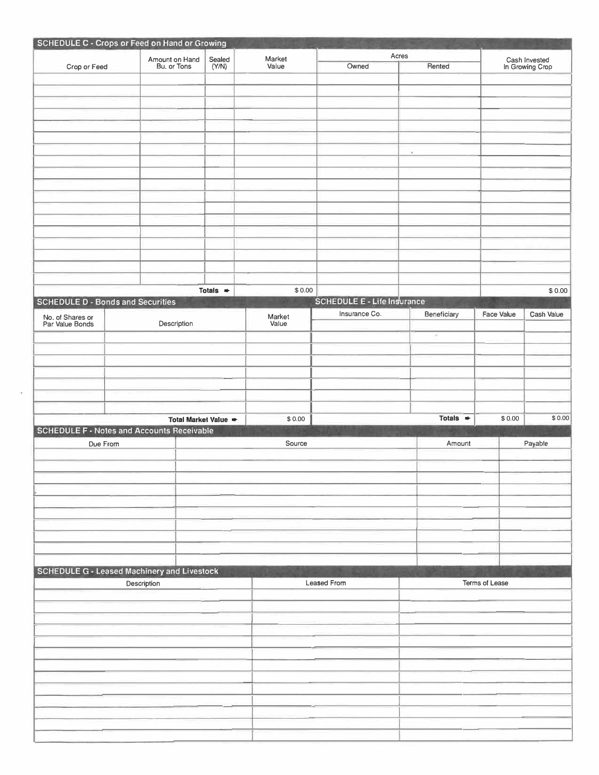|                                                    | SCHEDULE C - Crops or Feed on Hand or Growing |                      |                 |                                    |                      |                   |                                  |
|----------------------------------------------------|-----------------------------------------------|----------------------|-----------------|------------------------------------|----------------------|-------------------|----------------------------------|
|                                                    |                                               |                      |                 |                                    | Acres                |                   |                                  |
| Crop or Feed                                       | Amount on Hand<br>Bu, or Tons                 | Sealed<br>(Y/N)      | Market<br>Value | Owned                              | Rented               |                   | Cash Invested<br>In Growing Crop |
|                                                    |                                               |                      |                 |                                    |                      |                   |                                  |
|                                                    |                                               |                      |                 |                                    |                      |                   |                                  |
|                                                    |                                               |                      |                 |                                    |                      |                   |                                  |
|                                                    |                                               |                      |                 |                                    |                      |                   |                                  |
|                                                    |                                               |                      |                 |                                    |                      |                   |                                  |
|                                                    |                                               |                      |                 |                                    |                      |                   |                                  |
|                                                    |                                               |                      |                 |                                    |                      |                   |                                  |
|                                                    |                                               |                      |                 |                                    | $\tilde{\mathbf{r}}$ |                   |                                  |
|                                                    |                                               |                      |                 |                                    |                      |                   |                                  |
|                                                    |                                               |                      |                 |                                    |                      |                   |                                  |
|                                                    |                                               |                      |                 |                                    |                      |                   |                                  |
|                                                    |                                               |                      |                 |                                    |                      |                   |                                  |
|                                                    |                                               |                      |                 |                                    |                      |                   |                                  |
|                                                    |                                               |                      |                 |                                    |                      |                   |                                  |
|                                                    |                                               |                      |                 |                                    |                      |                   |                                  |
|                                                    |                                               |                      |                 |                                    |                      |                   |                                  |
|                                                    |                                               |                      |                 |                                    |                      |                   |                                  |
|                                                    |                                               |                      |                 |                                    |                      |                   |                                  |
|                                                    |                                               |                      |                 |                                    |                      |                   |                                  |
|                                                    |                                               |                      |                 |                                    |                      |                   |                                  |
|                                                    |                                               | Totals $\Rightarrow$ | \$0.00          |                                    |                      |                   | \$0.00                           |
| <b>SCHEDULE D - Bonds and Securities</b>           |                                               |                      |                 | <b>SCHEDULE E - Life Insurance</b> |                      |                   |                                  |
|                                                    |                                               |                      | Market          | Insurance Co.                      | Beneficiary          | <b>Face Value</b> | Cash Value                       |
| No. of Shares or<br>Par Value Bonds                | Description                                   |                      | Value           |                                    |                      |                   |                                  |
|                                                    |                                               |                      |                 |                                    | $\sigma$             |                   |                                  |
|                                                    |                                               |                      |                 |                                    |                      |                   |                                  |
|                                                    |                                               |                      |                 |                                    |                      |                   |                                  |
|                                                    |                                               |                      |                 |                                    |                      |                   |                                  |
|                                                    |                                               |                      |                 |                                    |                      |                   |                                  |
|                                                    |                                               |                      |                 |                                    |                      |                   |                                  |
|                                                    |                                               |                      |                 |                                    |                      |                   |                                  |
|                                                    |                                               |                      |                 |                                    |                      | \$0.00            |                                  |
|                                                    | Total Market Value =                          |                      |                 |                                    | Totals $\Rightarrow$ |                   | \$0.00                           |
|                                                    |                                               |                      | \$0.00          |                                    |                      |                   |                                  |
| <b>SCHEDULE F - Notes and Accounts Receivable</b>  |                                               |                      |                 |                                    |                      |                   |                                  |
| Due From                                           |                                               |                      | Source          |                                    | Amount               |                   | Payable                          |
|                                                    |                                               |                      |                 |                                    |                      |                   |                                  |
|                                                    |                                               |                      |                 |                                    |                      |                   |                                  |
|                                                    |                                               |                      |                 |                                    |                      |                   |                                  |
|                                                    |                                               |                      |                 |                                    |                      |                   |                                  |
|                                                    |                                               |                      |                 |                                    |                      |                   |                                  |
|                                                    |                                               |                      |                 |                                    |                      |                   |                                  |
|                                                    |                                               |                      |                 |                                    |                      |                   |                                  |
|                                                    |                                               |                      |                 |                                    |                      |                   |                                  |
|                                                    |                                               |                      |                 |                                    |                      |                   |                                  |
|                                                    |                                               |                      |                 |                                    |                      |                   |                                  |
|                                                    |                                               |                      |                 |                                    |                      |                   |                                  |
| <b>SCHEDULE G - Leased Machinery and Livestock</b> |                                               |                      |                 |                                    |                      |                   |                                  |
|                                                    | Description                                   |                      |                 | Leased From                        |                      | Terms of Lease    |                                  |
|                                                    |                                               |                      |                 |                                    |                      |                   |                                  |
|                                                    |                                               |                      |                 |                                    |                      |                   |                                  |
|                                                    |                                               |                      |                 |                                    |                      |                   |                                  |
|                                                    |                                               |                      |                 |                                    |                      |                   |                                  |
|                                                    |                                               |                      |                 |                                    |                      |                   |                                  |
|                                                    |                                               |                      |                 |                                    |                      |                   |                                  |
|                                                    |                                               |                      |                 |                                    |                      |                   |                                  |
|                                                    |                                               |                      |                 |                                    |                      |                   |                                  |
|                                                    |                                               |                      |                 |                                    |                      |                   |                                  |
|                                                    |                                               |                      |                 |                                    |                      |                   |                                  |
|                                                    |                                               |                      |                 |                                    |                      |                   |                                  |
|                                                    |                                               |                      |                 |                                    |                      |                   |                                  |
|                                                    |                                               |                      |                 |                                    |                      |                   |                                  |